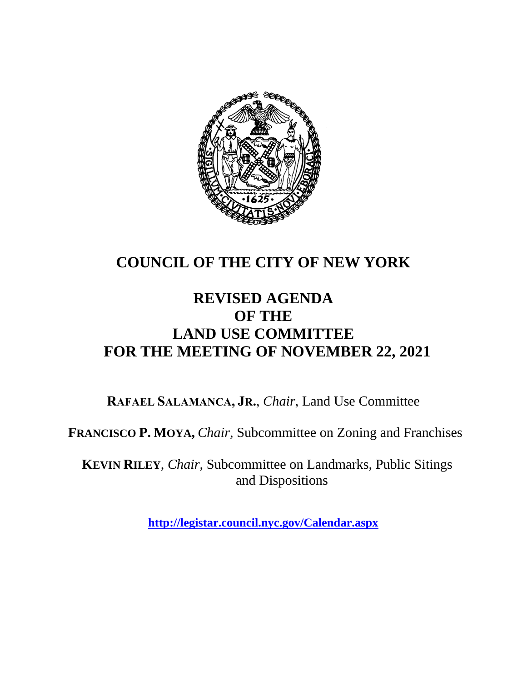

# **COUNCIL OF THE CITY OF NEW YORK**

# **REVISED AGENDA OF THE LAND USE COMMITTEE FOR THE MEETING OF NOVEMBER 22, 2021**

**RAFAEL SALAMANCA, JR.**, *Chair*, Land Use Committee

**FRANCISCO P. MOYA,** *Chair,* Subcommittee on Zoning and Franchises

**KEVIN RILEY**, *Chair*, Subcommittee on Landmarks, Public Sitings and Dispositions

**<http://legistar.council.nyc.gov/Calendar.aspx>**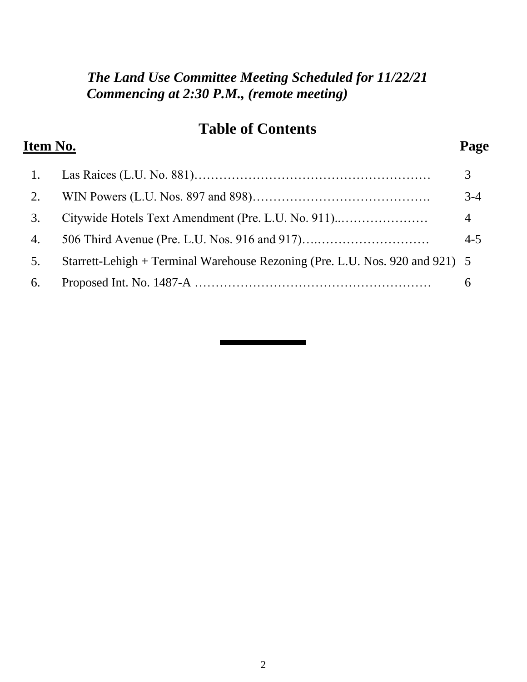#### *The Land Use Committee Meeting Scheduled for 11/22/21 Commencing at 2:30 P.M., (remote meeting)*

#### **Table of Contents**

# **Item No. Page**  1. Las Raices (L.U. No. 881)………………………………………………… 3 2. WIN Powers (L.U. Nos. 897 and 898)……………………………………. 3-4 3. Citywide Hotels Text Amendment (Pre. L.U. No. 911)..………………… 4 4. 506 Third Avenue (Pre. L.U. Nos. 916 and 917)….……………………… 4-5 5. Starrett-Lehigh + Terminal Warehouse Rezoning (Pre. L.U. Nos. 920 and 921) 5 6. Proposed Int. No. 1487-A ………………………………………………… 6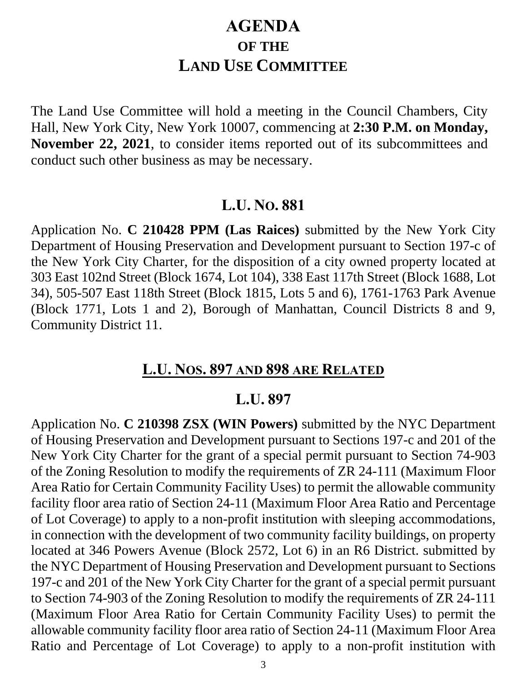# **AGENDA OF THE LAND USE COMMITTEE**

The Land Use Committee will hold a meeting in the Council Chambers, City Hall, New York City, New York 10007, commencing at **2:30 P.M. on Monday, November 22, 2021**, to consider items reported out of its subcommittees and conduct such other business as may be necessary.

#### **L.U. NO. 881**

Application No. **C 210428 PPM (Las Raices)** submitted by the New York City Department of Housing Preservation and Development pursuant to Section 197-c of the New York City Charter, for the disposition of a city owned property located at 303 East 102nd Street (Block 1674, Lot 104), 338 East 117th Street (Block 1688, Lot 34), 505-507 East 118th Street (Block 1815, Lots 5 and 6), 1761-1763 Park Avenue (Block 1771, Lots 1 and 2), Borough of Manhattan, Council Districts 8 and 9, Community District 11.

#### **L.U. NOS. 897 AND 898 ARE RELATED**

#### **L.U. 897**

Application No. **C 210398 ZSX (WIN Powers)** submitted by the NYC Department of Housing Preservation and Development pursuant to Sections 197-c and 201 of the New York City Charter for the grant of a special permit pursuant to Section 74-903 of the Zoning Resolution to modify the requirements of ZR 24-111 (Maximum Floor Area Ratio for Certain Community Facility Uses) to permit the allowable community facility floor area ratio of Section 24-11 (Maximum Floor Area Ratio and Percentage of Lot Coverage) to apply to a non-profit institution with sleeping accommodations, in connection with the development of two community facility buildings, on property located at 346 Powers Avenue (Block 2572, Lot 6) in an R6 District. submitted by the NYC Department of Housing Preservation and Development pursuant to Sections 197-c and 201 of the New York City Charter for the grant of a special permit pursuant to Section 74-903 of the Zoning Resolution to modify the requirements of ZR 24-111 (Maximum Floor Area Ratio for Certain Community Facility Uses) to permit the allowable community facility floor area ratio of Section 24-11 (Maximum Floor Area Ratio and Percentage of Lot Coverage) to apply to a non-profit institution with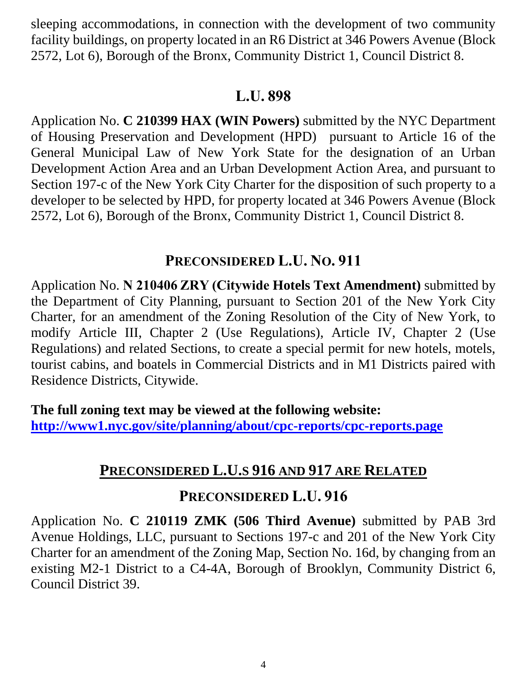sleeping accommodations, in connection with the development of two community facility buildings, on property located in an R6 District at 346 Powers Avenue (Block 2572, Lot 6), Borough of the Bronx, Community District 1, Council District 8.

# **L.U. 898**

Application No. **C 210399 HAX (WIN Powers)** submitted by the NYC Department of Housing Preservation and Development (HPD) pursuant to Article 16 of the General Municipal Law of New York State for the designation of an Urban Development Action Area and an Urban Development Action Area, and pursuant to Section 197-c of the New York City Charter for the disposition of such property to a developer to be selected by HPD, for property located at 346 Powers Avenue (Block 2572, Lot 6), Borough of the Bronx, Community District 1, Council District 8.

### **PRECONSIDERED L.U. NO. 911**

Application No. **N 210406 ZRY (Citywide Hotels Text Amendment)** submitted by the Department of City Planning, pursuant to Section 201 of the New York City Charter, for an amendment of the Zoning Resolution of the City of New York, to modify Article III, Chapter 2 (Use Regulations), Article IV, Chapter 2 (Use Regulations) and related Sections, to create a special permit for new hotels, motels, tourist cabins, and boatels in Commercial Districts and in M1 Districts paired with Residence Districts, Citywide.

**The full zoning text may be viewed at the following website: <http://www1.nyc.gov/site/planning/about/cpc-reports/cpc-reports.page>**

# **PRECONSIDERED L.U.S 916 AND 917 ARE RELATED**

#### **PRECONSIDERED L.U. 916**

Application No. **C 210119 ZMK (506 Third Avenue)** submitted by PAB 3rd Avenue Holdings, LLC, pursuant to Sections 197-c and 201 of the New York City Charter for an amendment of the Zoning Map, Section No. 16d, by changing from an existing M2-1 District to a C4-4A, Borough of Brooklyn, Community District 6, Council District 39.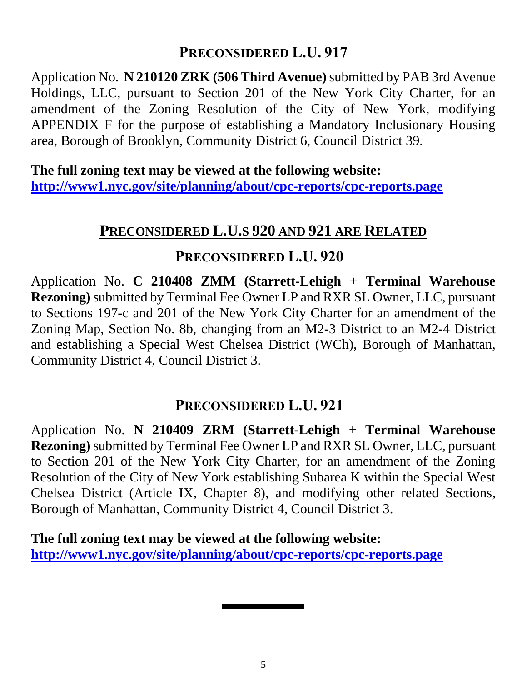### **PRECONSIDERED L.U. 917**

Application No. **N 210120 ZRK (506 Third Avenue)** submitted by PAB 3rd Avenue Holdings, LLC, pursuant to Section 201 of the New York City Charter, for an amendment of the Zoning Resolution of the City of New York, modifying APPENDIX F for the purpose of establishing a Mandatory Inclusionary Housing area, Borough of Brooklyn, Community District 6, Council District 39.

**The full zoning text may be viewed at the following website: <http://www1.nyc.gov/site/planning/about/cpc-reports/cpc-reports.page>**

# **PRECONSIDERED L.U.S 920 AND 921 ARE RELATED**

#### **PRECONSIDERED L.U. 920**

Application No. **C 210408 ZMM (Starrett-Lehigh + Terminal Warehouse Rezoning)**submitted by Terminal Fee Owner LP and RXR SL Owner, LLC, pursuant to Sections 197-c and 201 of the New York City Charter for an amendment of the Zoning Map, Section No. 8b, changing from an M2-3 District to an M2-4 District and establishing a Special West Chelsea District (WCh), Borough of Manhattan, Community District 4, Council District 3.

### **PRECONSIDERED L.U. 921**

Application No. **N 210409 ZRM (Starrett-Lehigh + Terminal Warehouse Rezoning)** submitted by Terminal Fee Owner LP and RXR SL Owner, LLC, pursuant to Section 201 of the New York City Charter, for an amendment of the Zoning Resolution of the City of New York establishing Subarea K within the Special West Chelsea District (Article IX, Chapter 8), and modifying other related Sections, Borough of Manhattan, Community District 4, Council District 3.

**The full zoning text may be viewed at the following website: <http://www1.nyc.gov/site/planning/about/cpc-reports/cpc-reports.page>**